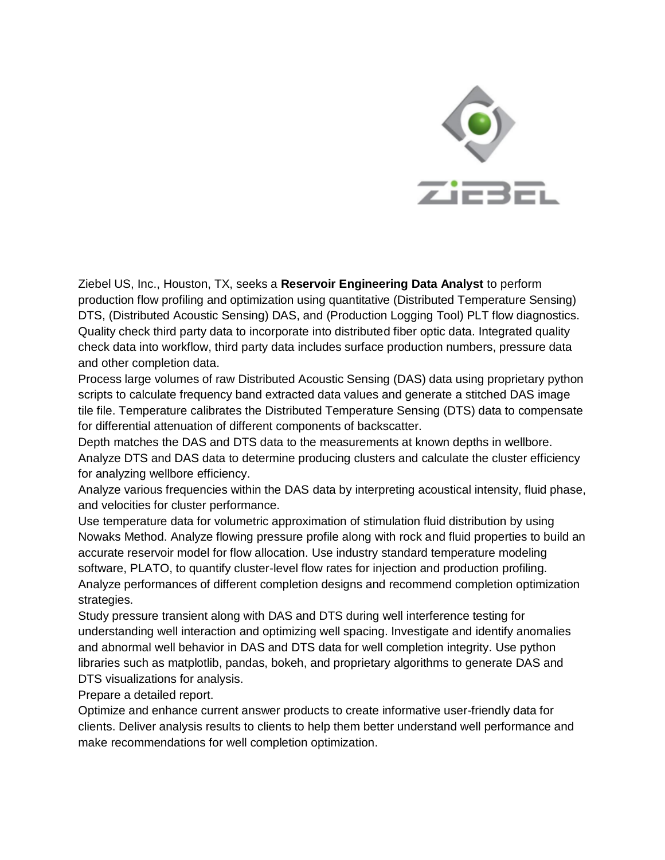

Ziebel US, Inc., Houston, TX, seeks a **Reservoir Engineering Data Analyst** to perform production flow profiling and optimization using quantitative (Distributed Temperature Sensing) DTS, (Distributed Acoustic Sensing) DAS, and (Production Logging Tool) PLT flow diagnostics. Quality check third party data to incorporate into distributed fiber optic data. Integrated quality check data into workflow, third party data includes surface production numbers, pressure data and other completion data.

Process large volumes of raw Distributed Acoustic Sensing (DAS) data using proprietary python scripts to calculate frequency band extracted data values and generate a stitched DAS image tile file. Temperature calibrates the Distributed Temperature Sensing (DTS) data to compensate for differential attenuation of different components of backscatter.

Depth matches the DAS and DTS data to the measurements at known depths in wellbore. Analyze DTS and DAS data to determine producing clusters and calculate the cluster efficiency for analyzing wellbore efficiency.

Analyze various frequencies within the DAS data by interpreting acoustical intensity, fluid phase, and velocities for cluster performance.

Use temperature data for volumetric approximation of stimulation fluid distribution by using Nowaks Method. Analyze flowing pressure profile along with rock and fluid properties to build an accurate reservoir model for flow allocation. Use industry standard temperature modeling software, PLATO, to quantify cluster-level flow rates for injection and production profiling. Analyze performances of different completion designs and recommend completion optimization strategies.

Study pressure transient along with DAS and DTS during well interference testing for understanding well interaction and optimizing well spacing. Investigate and identify anomalies and abnormal well behavior in DAS and DTS data for well completion integrity. Use python libraries such as matplotlib, pandas, bokeh, and proprietary algorithms to generate DAS and DTS visualizations for analysis.

Prepare a detailed report.

Optimize and enhance current answer products to create informative user-friendly data for clients. Deliver analysis results to clients to help them better understand well performance and make recommendations for well completion optimization.